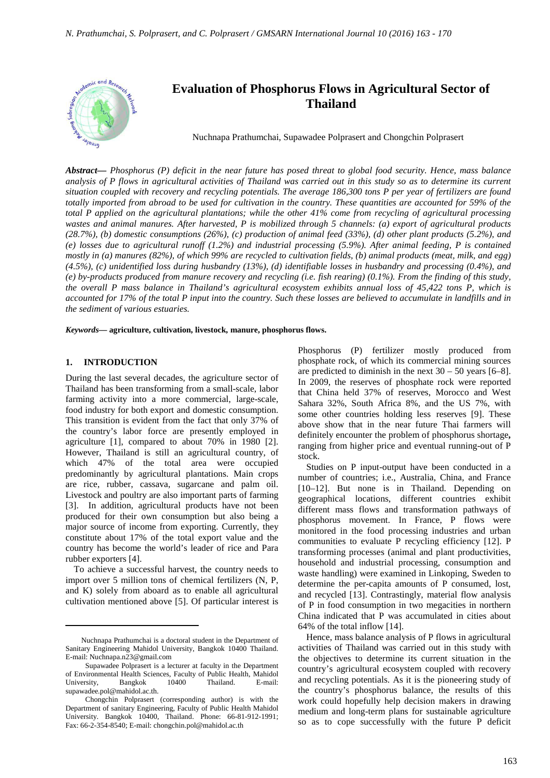

# Nuchnapa Prathumchai and Chongchin Polprasert**\* Thailand Evaluation of Phosphorus Flows in Agricultural Sector of**

Nuchnapa Prathumchai, Supawadee Polprasert and Chongchin Polprasert

*Abstract***—** *Phosphorus (P) deficit in the near future has posed threat to global food security. Hence, mass balance analysis of P flows in agricultural activities of Thailand was carried out in this study so as to determine its current situation coupled with recovery and recycling potentials. The average 186,300 tons P per year of fertilizers are found totally imported from abroad to be used for cultivation in the country. These quantities are accounted for 59% of the total P applied on the agricultural plantations; while the other 41% come from recycling of agricultural processing wastes and animal manures. After harvested, P is mobilized through 5 channels: (a) export of agricultural products (28.7%), (b) domestic consumptions (26%), (c) production of animal feed (33%), (d) other plant products (5.2%), and (e) losses due to agricultural runoff (1.2%) and industrial processing (5.9%). After animal feeding, P is contained mostly in (a) manures (82%), of which 99% are recycled to cultivation fields, (b) animal products (meat, milk, and egg) (4.5%), (c) unidentified loss during husbandry (13%), (d) identifiable losses in husbandry and processing (0.4%), and (e) by-products produced from manure recovery and recycling (i.e. fish rearing) (0.1%). From the finding of this study, the overall P mass balance in Thailand's agricultural ecosystem exhibits annual loss of 45,422 tons P, which is accounted for 17% of the total P input into the country. Such these losses are believed to accumulate in landfills and in the sediment of various estuaries.*

*Keywords***— agriculture, cultivation, livestock, manure, phosphorus flows.**

#### **1. INTRODUCTION**

 $\overline{a}$ 

During the last several decades, the agriculture sector of Thailand has been transforming from a small-scale, labor farming activity into a more commercial, large-scale, food industry for both export and domestic consumption. This transition is evident from the fact that only 37% of the country's labor force are presently employed in agriculture [1], compared to about 70% in 1980 [2]. However, Thailand is still an agricultural country, of which 47% of the total area were occupied predominantly by agricultural plantations. Main crops are rice, rubber, cassava, sugarcane and palm oil. Livestock and poultry are also important parts of farming [3]. In addition, agricultural products have not been produced for their own consumption but also being a major source of income from exporting. Currently, they constitute about 17% of the total export value and the country has become the world's leader of rice and Para rubber exporters [4].

To achieve a successful harvest, the country needs to import over 5 million tons of chemical fertilizers (N, P, and K) solely from aboard as to enable all agricultural cultivation mentioned above [5]. Of particular interest is Phosphorus (P) fertilizer mostly produced from phosphate rock, of which its commercial mining sources are predicted to diminish in the next  $30 - 50$  years [6–8]. In 2009, the reserves of phosphate rock were reported that China held 37% of reserves, Morocco and West Sahara 32%, South Africa 8%, and the US 7%, with some other countries holding less reserves [9]. These above show that in the near future Thai farmers will definitely encounter the problem of phosphorus shortage**,**  ranging from higher price and eventual running-out of P stock.

Studies on P input-output have been conducted in a number of countries; i.e., Australia, China, and France [10–12]. But none is in Thailand. Depending on geographical locations, different countries exhibit different mass flows and transformation pathways of phosphorus movement. In France, P flows were monitored in the food processing industries and urban communities to evaluate P recycling efficiency [12]. P transforming processes (animal and plant productivities, household and industrial processing, consumption and waste handling) were examined in Linkoping, Sweden to determine the per-capita amounts of P consumed, lost, and recycled [13]. Contrastingly, material flow analysis of P in food consumption in two megacities in northern China indicated that P was accumulated in cities about 64% of the total inflow [14].

Hence, mass balance analysis of P flows in agricultural activities of Thailand was carried out in this study with the objectives to determine its current situation in the country's agricultural ecosystem coupled with recovery and recycling potentials. As it is the pioneering study of the country's phosphorus balance, the results of this work could hopefully help decision makers in drawing medium and long-term plans for sustainable agriculture so as to cope successfully with the future P deficit

Nuchnapa Prathumchai is a doctoral student in the Department of Sanitary Engineering Mahidol University, Bangkok 10400 Thailand. E-mail: Nuchnapa.n23@gmail.com

Supawadee Polprasert is a lecturer at faculty in the Department of Environmental Health Sciences, Faculty of Public Health, Mahidol University, Bangkok 10400 Thailand. E-mail: supawadee.pol@mahidol.ac.th.

Chongchin Polprasert (corresponding author) is with the Department of sanitary Engineering, Faculty of Public Health Mahidol University. Bangkok 10400, Thailand. Phone: 66-81-912-1991; Fax: 66-2-354-8540; E-mail: chongchin.pol@mahidol.ac.th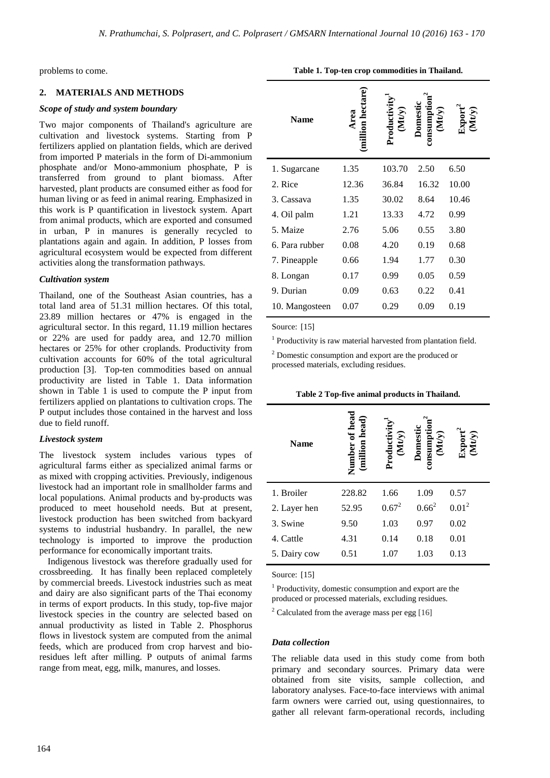problems to come.

#### **2. MATERIALS AND METHODS**

# *Scope of study and system boundary*

Two major components of Thailand's agriculture are cultivation and livestock systems. Starting from P fertilizers applied on plantation fields, which are derived from imported P materials in the form of Di-ammonium phosphate and/or Mono-ammonium phosphate, P is transferred from ground to plant biomass. After harvested, plant products are consumed either as food for human living or as feed in animal rearing. Emphasized in this work is P quantification in livestock system. Apart from animal products, which are exported and consumed in urban, P in manures is generally recycled to plantations again and again. In addition, P losses from agricultural ecosystem would be expected from different activities along the transformation pathways.

#### *Cultivation system*

Thailand, one of the Southeast Asian countries, has a total land area of 51.31 million hectares. Of this total, 23.89 million hectares or 47% is engaged in the agricultural sector. In this regard, 11.19 million hectares or 22% are used for paddy area, and 12.70 million hectares or 25% for other croplands. Productivity from cultivation accounts for 60% of the total agricultural production [3]. Top-ten commodities based on annual productivity are listed in Table 1. Data information shown in Table 1 is used to compute the P input from fertilizers applied on plantations to cultivation crops. The P output includes those contained in the harvest and loss due to field runoff.

# *Livestock system*

The livestock system includes various types of agricultural farms either as specialized animal farms or as mixed with cropping activities. Previously, indigenous livestock had an important role in smallholder farms and local populations. Animal products and by-products was produced to meet household needs. But at present, livestock production has been switched from backyard systems to industrial husbandry. In parallel, the new technology is imported to improve the production performance for economically important traits.

Indigenous livestock was therefore gradually used for crossbreeding. It has finally been replaced completely by commercial breeds. Livestock industries such as meat and dairy are also significant parts of the Thai economy in terms of export products. In this study, top-five major livestock species in the country are selected based on annual productivity as listed in Table 2. Phosphorus flows in livestock system are computed from the animal feeds, which are produced from crop harvest and bioresidues left after milling. P outputs of animal farms range from meat, egg, milk, manures, and losses.

| <b>Name</b>    | lion hectare | (Mt/v<br>roducti | Jonnest<br>$\begin{array}{c}\text{cosumpti} \ (\text{Mt/y})\end{array}$ |       |
|----------------|--------------|------------------|-------------------------------------------------------------------------|-------|
| 1. Sugarcane   | 1.35         | 103.70           | 2.50                                                                    | 6.50  |
| 2. Rice        | 12.36        | 36.84            | 16.32                                                                   | 10.00 |
| 3. Cassava     | 1.35         | 30.02            | 8.64                                                                    | 10.46 |
| 4. Oil palm    | 1.21         | 13.33            | 4.72                                                                    | 0.99  |
| 5. Maize       | 2.76         | 5.06             | 0.55                                                                    | 3.80  |
| 6. Para rubber | 0.08         | 4.20             | 0.19                                                                    | 0.68  |
| 7. Pineapple   | 0.66         | 1.94             | 1.77                                                                    | 0.30  |
| 8. Longan      | 0.17         | 0.99             | 0.05                                                                    | 0.59  |
| 9. Durian      | 0.09         | 0.63             | 0.22                                                                    | 0.41  |
| 10. Mangosteen | 0.07         | 0.29             | 0.09                                                                    | 0.19  |

**Table 1. Top-ten crop commodities in Thailand.** 

Source: [15]

<sup>1</sup> Productivity is raw material harvested from plantation field.

<sup>2</sup> Domestic consumption and export are the produced or processed materials, excluding residues.

| <b>Name</b>  | <b>T</b> head<br>Numbei | (Mt/y)<br>Productiv | (Mty)<br>Domest | ixport<br>(Mt/y) |
|--------------|-------------------------|---------------------|-----------------|------------------|
| 1. Broiler   | 228.82                  | 1.66                | 1.09            | 0.57             |
| 2. Layer hen | 52.95                   | $0.67^2$            | $0.66^2$        | $0.01^2$         |
| 3. Swine     | 9.50                    | 1.03                | 0.97            | 0.02             |
| 4. Cattle    | 4.31                    | 0.14                | 0.18            | 0.01             |
| 5. Dairy cow | 0.51                    | 1.07                | 1.03            | 0.13             |

**Table 2 Top-five animal products in Thailand.** 

Source: [15]

1 Productivity, domestic consumption and export are the produced or processed materials, excluding residues.

 $2$  Calculated from the average mass per egg [16]

# *Data collection*

The reliable data used in this study come from both primary and secondary sources. Primary data were obtained from site visits, sample collection, and laboratory analyses. Face-to-face interviews with animal farm owners were carried out, using questionnaires, to gather all relevant farm-operational records, including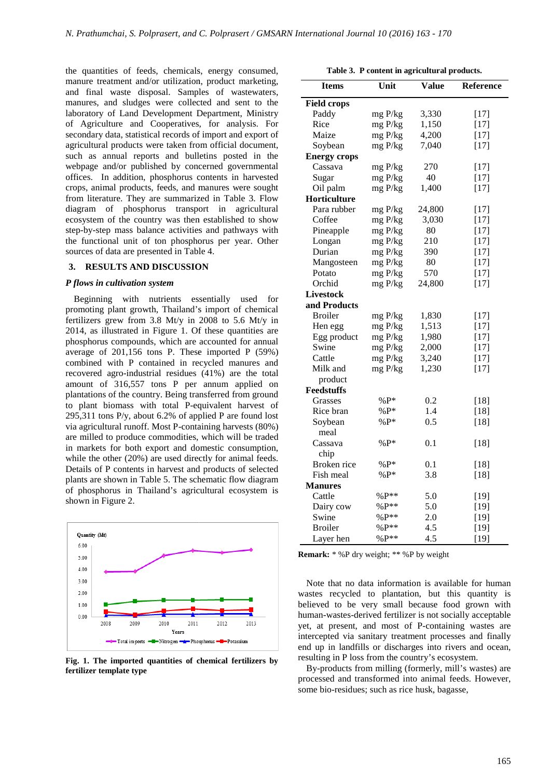the quantities of feeds, chemicals, energy consumed, manure treatment and/or utilization, product marketing, and final waste disposal. Samples of wastewaters, manures, and sludges were collected and sent to the laboratory of Land Development Department, Ministry of Agriculture and Cooperatives, for analysis. For secondary data, statistical records of import and export of agricultural products were taken from official document, such as annual reports and bulletins posted in the webpage and/or published by concerned governmental offices. In addition, phosphorus contents in harvested crops, animal products, feeds, and manu from literature. They are summarized in Table 3. Flow diagram of phosphorus transport in agricultural ecosystem of the country was then established to show step-by-step mass balance activities and pathways with the functional unit of ton phosphorus per year. Other sources of data are presented in Table 4. of feeds, chemicals, energy consumed,<br>hent and/or utilization, product marketing,<br>ste disposal. Samples of wastewaters,<br>sludges were collected and sent to the<br>Land Development Department, Ministry<br>e and Cooperatives, for a

#### **3. RESULTS AND DISCUSSION**

#### *P flows in cultivation system*

Beginning with nutrients essentially used for promoting plant growth, Thailand's import of chemical fertilizers grew from 3.8 Mt/y in 2008 to 5.6 Mt/y in 2014, as illustrated in Figure 1. Of these quantities are phosphorus compounds, which are accounted for annual average of 201,156 tons P. These imported P (59%) combined with P contained in recycled manures and recovered agro-industrial residues (41%) are the total amount of 316,557 tons P per annum applied on plantations of the country. Being transferred from grou to plant biomass with total P-equivalent harvest of 295,311 tons P/y, about 6.2% of applied P are found lost via agricultural runoff. Most P-containing harvests (80%) are milled to produce commodities, which will be traded in markets for both export and domestic consumption, while the other (20%) are used directly for animal feeds. Details of P contents in harvest and products of selected plants are shown in Table 5. The schematic flow diagram of phosphorus in Thailand's agricultural ecosystem is shown in Figure 2. step mass balance activities and pathways with<br>tional unit of ton phosphorus per year. Other<br>of data are presented in Table 4.<br>**ESULTS AND DISCUSSION**<br>in cultivation system<br>ning with nutrients essentially used for<br>ng plant P-equivalent<br>of applied P are<br>containing hare



**Fig. 1. The imported quantities of chemical fertilizers by fertilizer template type** 

|  |  | <b>Table 3. P content in agricultural products.</b> |  |  |  |  |  |
|--|--|-----------------------------------------------------|--|--|--|--|--|
|--|--|-----------------------------------------------------|--|--|--|--|--|

| Table 3. P content in agricultural products. |         |              |                                                                                                                                                                                                                                                                                                                                                                                                                |
|----------------------------------------------|---------|--------------|----------------------------------------------------------------------------------------------------------------------------------------------------------------------------------------------------------------------------------------------------------------------------------------------------------------------------------------------------------------------------------------------------------------|
| <b>Items</b>                                 | Unit    | <b>Value</b> | Reference                                                                                                                                                                                                                                                                                                                                                                                                      |
| <b>Field crops</b>                           |         |              |                                                                                                                                                                                                                                                                                                                                                                                                                |
| Paddy                                        | mg P/kg | 3,330        | $[17]$                                                                                                                                                                                                                                                                                                                                                                                                         |
| Rice                                         | mg P/kg | 1,150        | $[17]$                                                                                                                                                                                                                                                                                                                                                                                                         |
| Maize                                        | mg P/kg | 4,200        | $[17]$                                                                                                                                                                                                                                                                                                                                                                                                         |
| Soybean                                      | mg P/kg | 7,040        | $[17]$                                                                                                                                                                                                                                                                                                                                                                                                         |
| <b>Energy crops</b>                          |         |              |                                                                                                                                                                                                                                                                                                                                                                                                                |
| Cassava                                      | mg P/kg | 270          | $[17]$                                                                                                                                                                                                                                                                                                                                                                                                         |
| Sugar                                        | mg P/kg | 40           | $[17]$                                                                                                                                                                                                                                                                                                                                                                                                         |
| Oil palm                                     | mg P/kg | 1,400        | $[17]$                                                                                                                                                                                                                                                                                                                                                                                                         |
| Horticulture                                 |         |              |                                                                                                                                                                                                                                                                                                                                                                                                                |
| Para rubber                                  | mg P/kg | 24,800       | $[17]$                                                                                                                                                                                                                                                                                                                                                                                                         |
| Coffee                                       | mg P/kg | 3,030        | $[17]$                                                                                                                                                                                                                                                                                                                                                                                                         |
| Pineapple                                    | mg P/kg | 80           | $[17]$                                                                                                                                                                                                                                                                                                                                                                                                         |
| Longan                                       | mg P/kg | 210          | $[17]$                                                                                                                                                                                                                                                                                                                                                                                                         |
| Durian                                       | mg P/kg | 390          | $[17]$                                                                                                                                                                                                                                                                                                                                                                                                         |
| Mangosteen                                   | mg P/kg | 80           | $[17]$                                                                                                                                                                                                                                                                                                                                                                                                         |
| Potato                                       | mg P/kg | 570          | $[17]$                                                                                                                                                                                                                                                                                                                                                                                                         |
| Orchid                                       | mg P/kg | 24,800       | $[17]$                                                                                                                                                                                                                                                                                                                                                                                                         |
| Livestock                                    |         |              |                                                                                                                                                                                                                                                                                                                                                                                                                |
| and Products                                 |         |              |                                                                                                                                                                                                                                                                                                                                                                                                                |
| <b>Broiler</b>                               | mg P/kg | 1,830        | $[17]$                                                                                                                                                                                                                                                                                                                                                                                                         |
| Hen egg                                      | mg P/kg | 1,513        | $[17]$                                                                                                                                                                                                                                                                                                                                                                                                         |
| Egg product                                  | mg P/kg |              | $[17]$                                                                                                                                                                                                                                                                                                                                                                                                         |
| Swine                                        | mg P/kg | 2,000        | $[17]$                                                                                                                                                                                                                                                                                                                                                                                                         |
| Cattle                                       | mg P/kg | 3,240        | $[17]$                                                                                                                                                                                                                                                                                                                                                                                                         |
| Milk and                                     | mg P/kg | 1,230        | $[17]$                                                                                                                                                                                                                                                                                                                                                                                                         |
| product                                      |         |              |                                                                                                                                                                                                                                                                                                                                                                                                                |
| Feedstuffs                                   |         |              |                                                                                                                                                                                                                                                                                                                                                                                                                |
| Grasses                                      | % $P^*$ | 0.2          | $[18]$                                                                                                                                                                                                                                                                                                                                                                                                         |
| Rice bran                                    | $%P*$   | 1.4          | $[18]$                                                                                                                                                                                                                                                                                                                                                                                                         |
| Soybean                                      | $%P*$   | 0.5          | $[18]$                                                                                                                                                                                                                                                                                                                                                                                                         |
| meal                                         |         |              |                                                                                                                                                                                                                                                                                                                                                                                                                |
| Cassava                                      | $%P*$   | 0.1          | $[18]$                                                                                                                                                                                                                                                                                                                                                                                                         |
| chip                                         |         |              |                                                                                                                                                                                                                                                                                                                                                                                                                |
| Broken rice                                  | $%P*$   | 0.1          | $[18]$                                                                                                                                                                                                                                                                                                                                                                                                         |
| Fish meal                                    | $%P*$   | 3.8          | $[18]$                                                                                                                                                                                                                                                                                                                                                                                                         |
| <b>Manures</b>                               |         |              |                                                                                                                                                                                                                                                                                                                                                                                                                |
| Cattle                                       | $%P**$  | 5.0          | $[19]$                                                                                                                                                                                                                                                                                                                                                                                                         |
| Dairy cow                                    | $%P**$  | 5.0          | $[19]$                                                                                                                                                                                                                                                                                                                                                                                                         |
| Swine                                        | $%P**$  | 2.0          | $[19]$                                                                                                                                                                                                                                                                                                                                                                                                         |
| <b>Broiler</b>                               | $%P**$  | 4.5          | $[19]$                                                                                                                                                                                                                                                                                                                                                                                                         |
| Layer hen                                    | $%P**$  | 4.5          | $[19]$                                                                                                                                                                                                                                                                                                                                                                                                         |
|                                              |         |              |                                                                                                                                                                                                                                                                                                                                                                                                                |
|                                              |         |              | 1,980<br><b>Remark:</b> * %P dry weight; ** %P by weight<br>Note that no data information is available for human<br>wastes recycled to plantation, but this quantity is<br>believed to be very small because food grown with<br>human-wastes-derived fertilizer is not socially acceptable<br>yet, at present, and most of P-containing wastes are<br>intercepted via sanitary treatment processes and finally |

Note that no data information is available for human wastes recycled to plantation, but this quantity is believed to be very small because food grown with human-wastes-derived fertilizer is not socially acceptable human-wastes-derived fertilizer is not socially acceptable<br>yet, at present, and most of P-containing wastes are intercepted via sanitary treatment processes and finally end up in landfills or discharges into rivers and ocean, resulting in P loss from the country's ecosystem. epted via sanitary treatment processes and finally<br>p in landfills or discharges into rivers and ocean,<br>ing in P loss from the country's ecosystem.<br>products from milling (formerly, mill's wastes) are<br>ssed and transformed in

By-products from milling (formerly, mill's wastes) are processed and transformed into animal feeds. some bio-residues; such as rice husk, bagasse,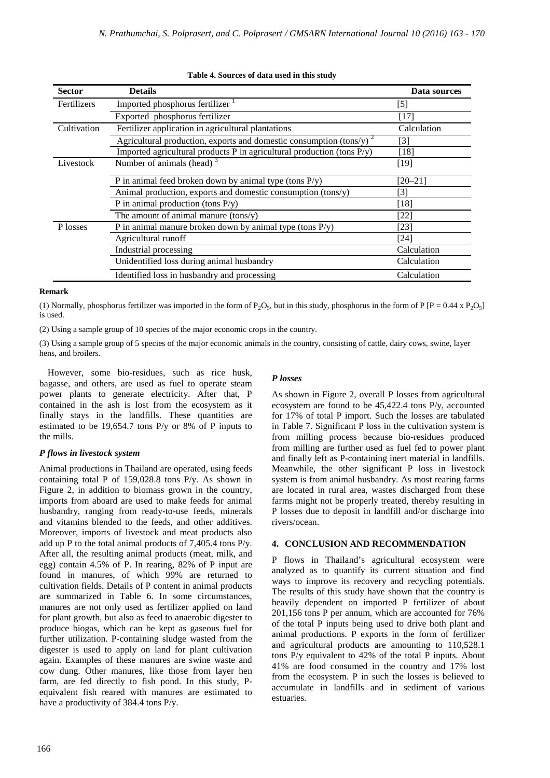| <b>Sector</b> | <b>Details</b>                                                               | Data sources                                                                                                                                                                         |
|---------------|------------------------------------------------------------------------------|--------------------------------------------------------------------------------------------------------------------------------------------------------------------------------------|
| Fertilizers   | Imported phosphorus fertilizer                                               | $[5] % \includegraphics[width=0.9\columnwidth]{figures/fig_10.pdf} \caption{Schematic diagram of the top of the top of the top of the top of the top of the right.} \label{fig:2} %$ |
|               | Exported phosphorus fertilizer                                               | [17]                                                                                                                                                                                 |
| Cultivation   | Fertilizer application in agricultural plantations                           | Calculation                                                                                                                                                                          |
|               | Agricultural production, exports and domestic consumption (tons/y) $^2$      | $[3]$                                                                                                                                                                                |
|               | Imported agricultural products $P$ in agricultural production (tons $P(y)$ ) | [18]                                                                                                                                                                                 |
| Livestock     | Number of animals (head) $3$                                                 | [19]                                                                                                                                                                                 |
|               | P in animal feed broken down by animal type (tons $P(y)$ )                   | [20–21]                                                                                                                                                                              |
|               | Animal production, exports and domestic consumption (tons/y)                 | [3]                                                                                                                                                                                  |
|               | P in animal production (tons $P(y)$ )                                        | $[18]$                                                                                                                                                                               |
|               | The amount of animal manure $(tons/y)$                                       | [22]                                                                                                                                                                                 |
| P losses      | P in animal manure broken down by animal type (tons $P(y)$ )                 | [23]                                                                                                                                                                                 |
|               | Agricultural runoff                                                          | [24]                                                                                                                                                                                 |
|               | Industrial processing                                                        | Calculation                                                                                                                                                                          |
|               | Unidentified loss during animal husbandry                                    | Calculation                                                                                                                                                                          |
|               | Identified loss in husbandry and processing                                  | Calculation                                                                                                                                                                          |

# **Table 4. Sources of data used in this study**

### **Remark**

(1) Normally, phosphorus fertilizer was imported in the form of P<sub>2</sub>O<sub>5</sub>, but in this study, phosphorus in the form of P [P = 0.44 x P<sub>2</sub>O<sub>5</sub>] is used.

(2) Using a sample group of 10 species of the major economic crops in the country.

(3) Using a sample group of 5 species of the major economic animals in the country, consisting of cattle, dairy cows, swine, layer hens, and broilers.

However, some bio-residues, such as rice husk, bagasse, and others, are used as fuel to operate steam power plants to generate electricity. After that, P contained in the ash is lost from the ecosystem as it finally stays in the landfills. These quantities are estimated to be 19,654.7 tons P/y or 8% of P inputs to the mills.

# *P flows in livestock system*

Animal productions in Thailand are operated, using feeds containing total P of 159,028.8 tons P/y. As shown in Figure 2, in addition to biomass grown in the country, imports from aboard are used to make feeds for animal husbandry, ranging from ready-to-use feeds, minerals and vitamins blended to the feeds, and other additives. Moreover, imports of livestock and meat products also add up P to the total animal products of 7,405.4 tons P/y. After all, the resulting animal products (meat, milk, and egg) contain 4.5% of P. In rearing, 82% of P input are found in manures, of which 99% are returned to cultivation fields. Details of P content in animal products are summarized in Table 6. In some circumstances, manures are not only used as fertilizer applied on land for plant growth, but also as feed to anaerobic digester to produce biogas, which can be kept as gaseous fuel for further utilization. P-containing sludge wasted from the digester is used to apply on land for plant cultivation again. Examples of these manures are swine waste and cow dung. Other manures, like those from layer hen farm, are fed directly to fish pond. In this study, Pequivalent fish reared with manures are estimated to have a productivity of 384.4 tons P/y.

# *P losses*

As shown in Figure 2, overall P losses from agricultural ecosystem are found to be 45,422.4 tons P/y, accounted for 17% of total P import. Such the losses are tabulated in Table 7. Significant P loss in the cultivation system is from milling process because bio-residues produced from milling are further used as fuel fed to power plant and finally left as P-containing inert material in landfills. Meanwhile, the other significant P loss in livestock system is from animal husbandry. As most rearing farms are located in rural area, wastes discharged from these farms might not be properly treated, thereby resulting in P losses due to deposit in landfill and/or discharge into rivers/ocean.

# **4. CONCLUSION AND RECOMMENDATION**

P flows in Thailand's agricultural ecosystem were analyzed as to quantify its current situation and find ways to improve its recovery and recycling potentials. The results of this study have shown that the country is heavily dependent on imported P fertilizer of about 201,156 tons P per annum, which are accounted for 76% of the total P inputs being used to drive both plant and animal productions. P exports in the form of fertilizer and agricultural products are amounting to 110,528.1 tons P/y equivalent to 42% of the total P inputs. About 41% are food consumed in the country and 17% lost from the ecosystem. P in such the losses is believed to accumulate in landfills and in sediment of various estuaries.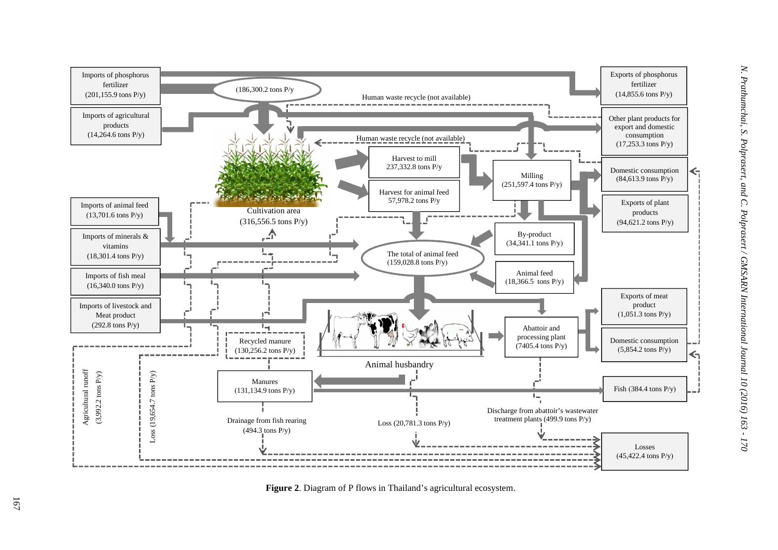

**Figure 2**. Diagram of P flows in Thailand's agricultural ecosystem.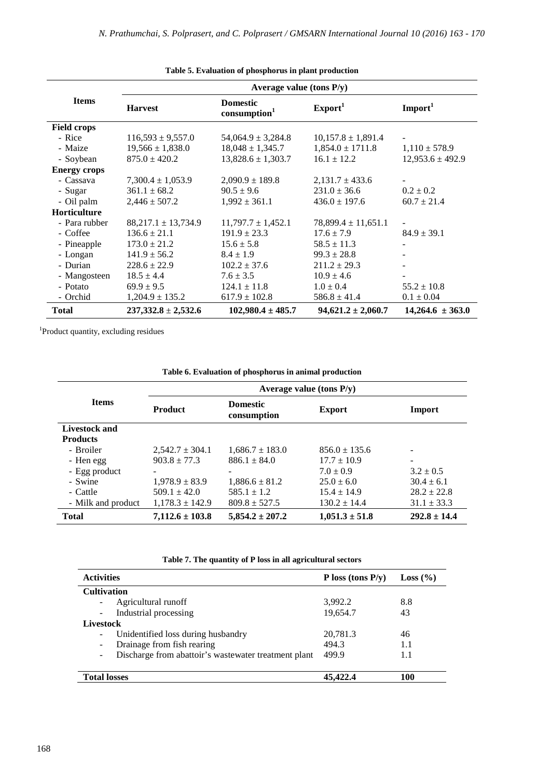|                     | Average value (tons $P/y$ ) |                                             |                         |                      |  |
|---------------------|-----------------------------|---------------------------------------------|-------------------------|----------------------|--|
| <b>Items</b>        | <b>Harvest</b>              | <b>Domestic</b><br>consumption <sup>1</sup> | Export <sup>1</sup>     | Import <sup>1</sup>  |  |
| <b>Field crops</b>  |                             |                                             |                         |                      |  |
| - Rice              | $116,593 \pm 9,557.0$       | $54,064.9 \pm 3,284.8$                      | $10,157.8 \pm 1,891.4$  |                      |  |
| - Maize             | $19,566 \pm 1,838.0$        | $18,048 \pm 1,345.7$                        | $1,854.0 \pm 1711.8$    | $1,110 \pm 578.9$    |  |
| - Soybean           | $875.0 \pm 420.2$           | $13,828.6 \pm 1,303.7$                      | $16.1 \pm 12.2$         | $12,953.6 \pm 492.9$ |  |
| <b>Energy crops</b> |                             |                                             |                         |                      |  |
| - Cassava           | $7,300.4 \pm 1,053.9$       | $2,090.9 \pm 189.8$                         | $2,131.7 \pm 433.6$     |                      |  |
| - Sugar             | $361.1 \pm 68.2$            | $90.5 \pm 9.6$                              | $231.0 \pm 36.6$        | $0.2 \pm 0.2$        |  |
| - Oil palm          | $2,446 \pm 507.2$           | $1,992 \pm 361.1$                           | $436.0 \pm 197.6$       | $60.7 \pm 21.4$      |  |
| <b>Horticulture</b> |                             |                                             |                         |                      |  |
| - Para rubber       | $88,217.1 \pm 13,734.9$     | $11,797.7 \pm 1,452.1$                      | $78,899.4 \pm 11,651.1$ |                      |  |
| - Coffee            | $136.6 \pm 21.1$            | $191.9 \pm 23.3$                            | $17.6 \pm 7.9$          | $84.9 \pm 39.1$      |  |
| - Pineapple         | $173.0 \pm 21.2$            | $15.6 \pm 5.8$                              | $58.5 \pm 11.3$         |                      |  |
| - Longan            | $141.9 \pm 56.2$            | $8.4 \pm 1.9$                               | $99.3 \pm 28.8$         |                      |  |
| - Durian            | $228.6 \pm 22.9$            | $102.2 \pm 37.6$                            | $211.2 \pm 29.3$        |                      |  |
| - Mangosteen        | $18.5 \pm 4.4$              | $7.6 \pm 3.5$                               | $10.9 \pm 4.6$          |                      |  |
| - Potato            | $69.9 \pm 9.5$              | $124.1 \pm 11.8$                            | $1.0 \pm 0.4$           | $55.2 \pm 10.8$      |  |
| - Orchid            | $1,204.9 \pm 135.2$         | $617.9 \pm 102.8$                           | $586.8 \pm 41.4$        | $0.1 \pm 0.04$       |  |
| <b>Total</b>        | $237,332.8 \pm 2,532.6$     | $102,980.4 \pm 485.7$                       | $94,621.2 \pm 2,060.7$  | $14,264.6 \pm 363.0$ |  |

**Table 5. Evaluation of phosphorus in plant production**

1 Product quantity, excluding residues

| Table 6. Evaluation of phosphorus in animal production |
|--------------------------------------------------------|
|                                                        |

|                    | Average value (tons $P(y)$ ) |                                |                    |                  |  |  |
|--------------------|------------------------------|--------------------------------|--------------------|------------------|--|--|
| <b>Items</b>       | <b>Product</b>               | <b>Domestic</b><br>consumption | <b>Export</b>      | Import           |  |  |
| Livestock and      |                              |                                |                    |                  |  |  |
| <b>Products</b>    |                              |                                |                    |                  |  |  |
| - Broiler          | $2,542.7 \pm 304.1$          | $1,686.7 \pm 183.0$            | $856.0 \pm 135.6$  |                  |  |  |
| - Hen egg          | $903.8 \pm 77.3$             | $886.1 \pm 84.0$               | $17.7 \pm 10.9$    |                  |  |  |
| - Egg product      |                              |                                | $7.0 \pm 0.9$      | $3.2 \pm 0.5$    |  |  |
| - Swine            | $1,978.9 \pm 83.9$           | $1,886.6 \pm 81.2$             | $25.0 \pm 6.0$     | $30.4 \pm 6.1$   |  |  |
| - Cattle           | $509.1 \pm 42.0$             | $585.1 \pm 1.2$                | $15.4 \pm 14.9$    | $28.2 \pm 22.8$  |  |  |
| - Milk and product | $1,178.3 \pm 142.9$          | $809.8 \pm 527.5$              | $130.2 \pm 14.4$   | $31.1 \pm 33.3$  |  |  |
| <b>Total</b>       | $7,112.6 \pm 103.8$          | $5,854.2 \pm 207.2$            | $1,051.3 \pm 51.8$ | $292.8 \pm 14.4$ |  |  |

**Table 7. The quantity of P loss in all agricultural sectors** 

| <b>Activities</b>                                    | P loss (tons $P(y)$ ) | Loss (%) |
|------------------------------------------------------|-----------------------|----------|
| <b>Cultivation</b>                                   |                       |          |
| Agricultural runoff                                  | 3,992.2               | 8.8      |
| Industrial processing                                | 19,654.7              | 43       |
| Livestock                                            |                       |          |
| Unidentified loss during husbandry                   | 20,781.3              | 46       |
| Drainage from fish rearing                           | 494.3                 | 1.1      |
| Discharge from abattoir's wastewater treatment plant | 499.9                 | 1.1      |
| <b>Total losses</b>                                  | 45,422.4              | 100      |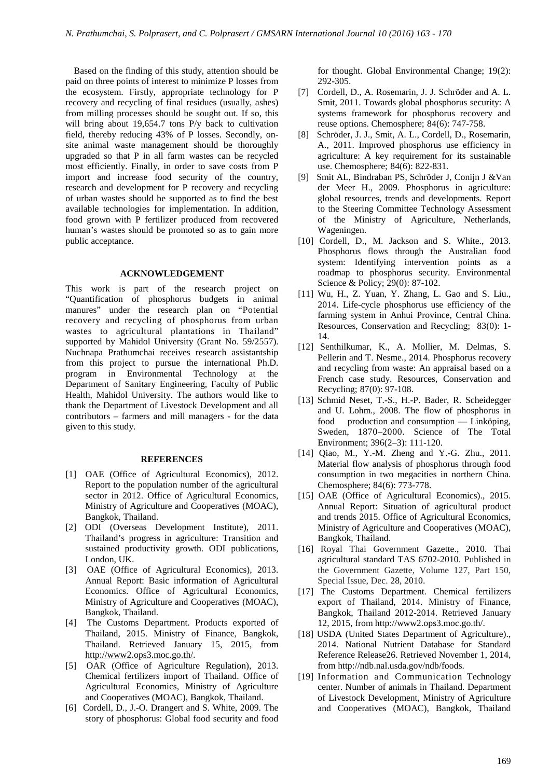Based on the finding of this study, attention should be paid on three points of interest to minimize P losses from the ecosystem. Firstly, appropriate technology for P recovery and recycling of final residues (usually, ashes) from milling processes should be sought out. If so, this will bring about 19,654.7 tons P/y back to cultivation field, thereby reducing 43% of P losses. Secondly, onsite animal waste management should be thoroughly upgraded so that P in all farm wastes can be recycled most efficiently. Finally, in order to save costs from P import and increase food security of the country, research and development for P recovery and recycling of urban wastes should be supported as to find the best available technologies for implementation. In addition, food grown with P fertilizer produced from recovered human's wastes should be promoted so as to gain more public acceptance.

#### **ACKNOWLEDGEMENT**

This work is part of the research project on "Quantification of phosphorus budgets in animal manures" under the research plan on "Potential recovery and recycling of phosphorus from urban wastes to agricultural plantations in Thailand" supported by Mahidol University (Grant No. 59/2557). Nuchnapa Prathumchai receives research assistantship from this project to pursue the international Ph.D. program in Environmental Technology at the Department of Sanitary Engineering, Faculty of Public Health, Mahidol University. The authors would like to thank the Department of Livestock Development and all contributors – farmers and mill managers - for the data given to this study.

# **REFERENCES**

- [1] OAE (Office of Agricultural Economics), 2012. Report to the population number of the agricultural sector in 2012. Office of Agricultural Economics, Ministry of Agriculture and Cooperatives (MOAC), Bangkok, Thailand.
- [2] ODI (Overseas Development Institute), 2011. Thailand's progress in agriculture: Transition and sustained productivity growth. ODI publications, London, UK.
- [3] OAE (Office of Agricultural Economics), 2013. Annual Report: Basic information of Agricultural Economics. Office of Agricultural Economics, Ministry of Agriculture and Cooperatives (MOAC), Bangkok, Thailand.
- [4] The Customs Department. Products exported of Thailand, 2015. Ministry of Finance, Bangkok, Thailand. Retrieved January 15, 2015, from http://www2.ops3.moc.go.th/.
- [5] OAR (Office of Agriculture Regulation), 2013. Chemical fertilizers import of Thailand. Office of Agricultural Economics, Ministry of Agriculture and Cooperatives (MOAC), Bangkok, Thailand.
- [6] Cordell, D., J.-O. Drangert and S. White, 2009. The story of phosphorus: Global food security and food

for thought. Global Environmental Change; 19(2): 292-305.

- [7] Cordell, D., A. Rosemarin, J. J. Schröder and A. L. Smit, 2011. Towards global phosphorus security: A systems framework for phosphorus recovery and reuse options. Chemosphere; 84(6): 747-758.
- [8] Schröder, J. J., Smit, A. L., Cordell, D., Rosemarin, A., 2011. Improved phosphorus use efficiency in agriculture: A key requirement for its sustainable use. Chemosphere; 84(6): 822-831.
- [9] Smit AL, Bindraban PS, Schröder J, Conijn J &Van der Meer H., 2009. Phosphorus in agriculture: global resources, trends and developments. Report to the Steering Committee Technology Assessment of the Ministry of Agriculture, Netherlands, Wageningen.
- [10] Cordell, D., M. Jackson and S. White., 2013. Phosphorus flows through the Australian food system: Identifying intervention points as a roadmap to phosphorus security. Environmental Science & Policy; 29(0): 87-102.
- [11] Wu, H., Z. Yuan, Y. Zhang, L. Gao and S. Liu., 2014. Life-cycle phosphorus use efficiency of the farming system in Anhui Province, Central China. Resources, Conservation and Recycling; 83(0): 1- 14.
- [12] Senthilkumar, K., A. Mollier, M. Delmas, S. Pellerin and T. Nesme., 2014. Phosphorus recovery and recycling from waste: An appraisal based on a French case study. Resources, Conservation and Recycling; 87(0): 97-108.
- [13] Schmid Neset, T.-S., H.-P. Bader, R. Scheidegger and U. Lohm., 2008. The flow of phosphorus in food production and consumption — Linköping, Sweden, 1870–2000. Science of The Total Environment; 396(2–3): 111-120.
- [14] Oiao, M., Y.-M. Zheng and Y.-G. Zhu., 2011. Material flow analysis of phosphorus through food consumption in two megacities in northern China. Chemosphere; 84(6): 773-778.
- [15] OAE (Office of Agricultural Economics)., 2015. Annual Report: Situation of agricultural product and trends 2015. Office of Agricultural Economics, Ministry of Agriculture and Cooperatives (MOAC), Bangkok, Thailand.
- [16] Royal Thai Government Gazette., 2010. Thai agricultural standard TAS 6702-2010. Published in the Government Gazette, Volume 127, Part 150, Special Issue, Dec. 28, 2010.
- [17] The Customs Department. Chemical fertilizers export of Thailand, 2014. Ministry of Finance, Bangkok, Thailand 2012-2014. Retrieved January 12, 2015, from http://www2.ops3.moc.go.th/.
- [18] USDA (United States Department of Agriculture)., 2014. National Nutrient Database for Standard Reference Release26. Retrieved November 1, 2014, from http://ndb.nal.usda.gov/ndb/foods.
- [19] Information and Communication Technology center. Number of animals in Thailand. Department of Livestock Development, Ministry of Agriculture and Cooperatives (MOAC), Bangkok, Thailand